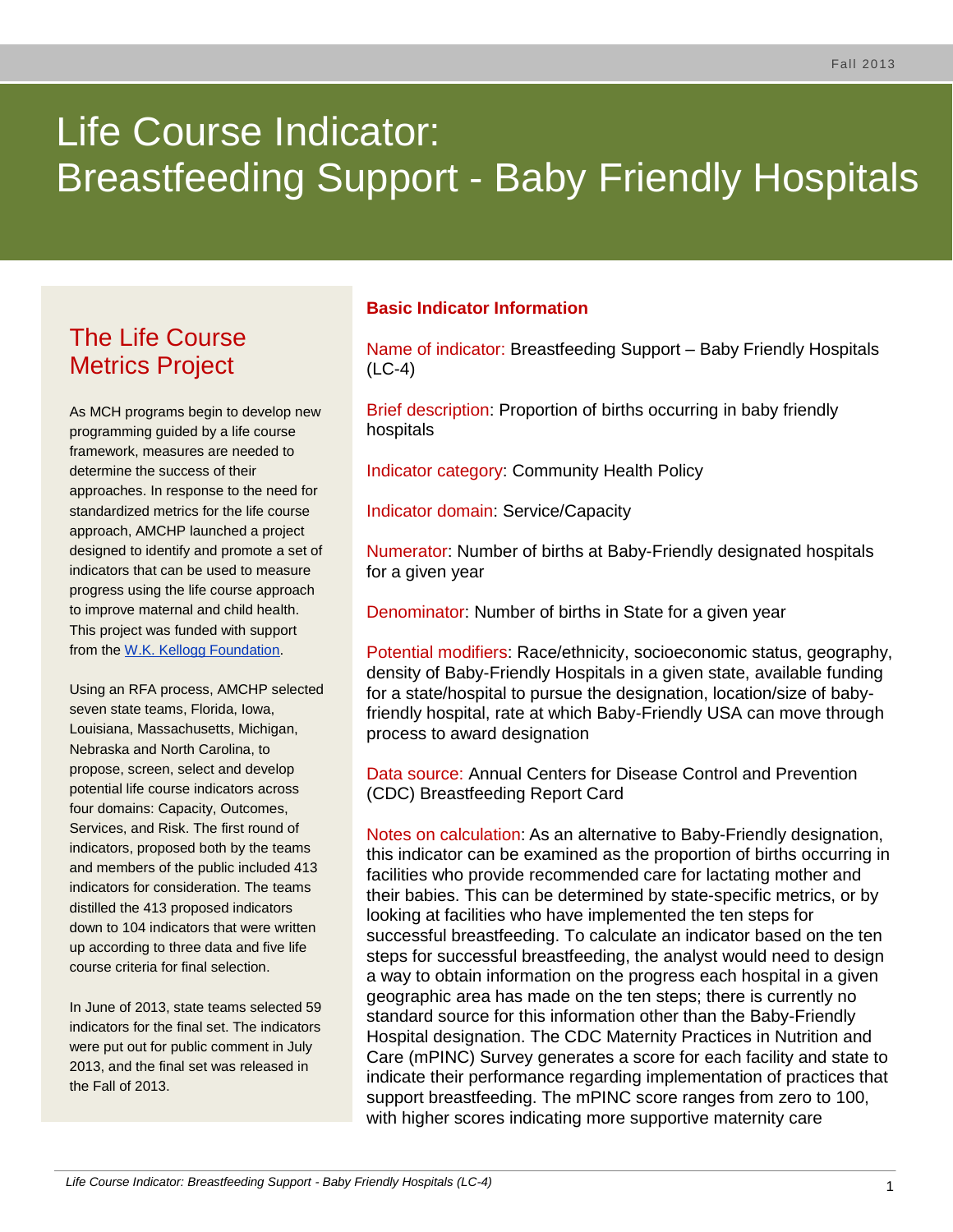# Life Course Indicator: Breastfeeding Support - Baby Friendly Hospitals

# The Life Course Metrics Project

As MCH programs begin to develop new programming guided by a life course framework, measures are needed to determine the success of their approaches. In response to the need for standardized metrics for the life course approach, AMCHP launched a project designed to identify and promote a set of indicators that can be used to measure progress using the life course approach to improve maternal and child health. This project was funded with support from the [W.K. Kellogg Foundation.](http://www.wkkf.org/)

Using an RFA process, AMCHP selected seven state teams, Florida, Iowa, Louisiana, Massachusetts, Michigan, Nebraska and North Carolina, to propose, screen, select and develop potential life course indicators across four domains: Capacity, Outcomes, Services, and Risk. The first round of indicators, proposed both by the teams and members of the public included 413 indicators for consideration. The teams distilled the 413 proposed indicators down to 104 indicators that were written up according to three data and five life course criteria for final selection.

In June of 2013, state teams selected 59 indicators for the final set. The indicators were put out for public comment in July 2013, and the final set was released in the Fall of 2013.

#### **Basic Indicator Information**

Name of indicator: Breastfeeding Support – Baby Friendly Hospitals (LC-4)

Brief description: Proportion of births occurring in baby friendly hospitals

Indicator category: Community Health Policy

Indicator domain: Service/Capacity

Numerator: Number of births at Baby-Friendly designated hospitals for a given year

Denominator: Number of births in State for a given year

Potential modifiers: Race/ethnicity, socioeconomic status, geography, density of Baby-Friendly Hospitals in a given state, available funding for a state/hospital to pursue the designation, location/size of babyfriendly hospital, rate at which Baby-Friendly USA can move through process to award designation

Data source: Annual Centers for Disease Control and Prevention (CDC) Breastfeeding Report Card

Notes on calculation: As an alternative to Baby-Friendly designation, this indicator can be examined as the proportion of births occurring in facilities who provide recommended care for lactating mother and their babies. This can be determined by state-specific metrics, or by looking at facilities who have implemented the ten steps for successful breastfeeding. To calculate an indicator based on the ten steps for successful breastfeeding, the analyst would need to design a way to obtain information on the progress each hospital in a given geographic area has made on the ten steps; there is currently no standard source for this information other than the Baby-Friendly Hospital designation. The CDC Maternity Practices in Nutrition and Care (mPINC) Survey generates a score for each facility and state to indicate their performance regarding implementation of practices that support breastfeeding. The mPINC score ranges from zero to 100, with higher scores indicating more supportive maternity care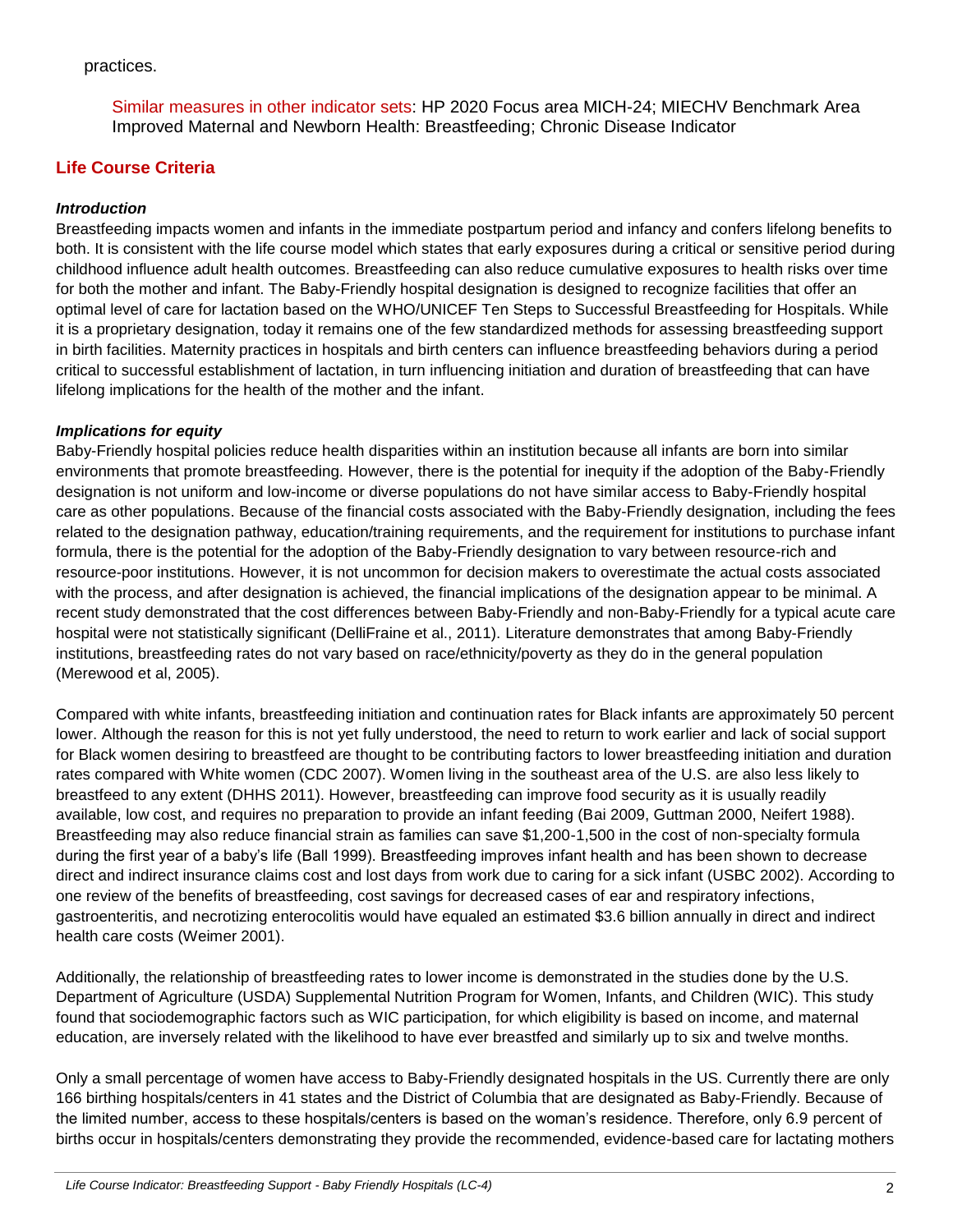#### practices.

Similar measures in other indicator sets: HP 2020 Focus area MICH-24; MIECHV Benchmark Area Improved Maternal and Newborn Health: Breastfeeding; Chronic Disease Indicator

## **Life Course Criteria**

#### *Introduction*

Breastfeeding impacts women and infants in the immediate postpartum period and infancy and confers lifelong benefits to both. It is consistent with the life course model which states that early exposures during a critical or sensitive period during childhood influence adult health outcomes. Breastfeeding can also reduce cumulative exposures to health risks over time for both the mother and infant. The Baby-Friendly hospital designation is designed to recognize facilities that offer an optimal level of care for lactation based on the WHO/UNICEF Ten Steps to Successful Breastfeeding for Hospitals. While it is a proprietary designation, today it remains one of the few standardized methods for assessing breastfeeding support in birth facilities. Maternity practices in hospitals and birth centers can influence breastfeeding behaviors during a period critical to successful establishment of lactation, in turn influencing initiation and duration of breastfeeding that can have lifelong implications for the health of the mother and the infant.

#### *Implications for equity*

Baby-Friendly hospital policies reduce health disparities within an institution because all infants are born into similar environments that promote breastfeeding. However, there is the potential for inequity if the adoption of the Baby-Friendly designation is not uniform and low-income or diverse populations do not have similar access to Baby-Friendly hospital care as other populations. Because of the financial costs associated with the Baby-Friendly designation, including the fees related to the designation pathway, education/training requirements, and the requirement for institutions to purchase infant formula, there is the potential for the adoption of the Baby-Friendly designation to vary between resource-rich and resource-poor institutions. However, it is not uncommon for decision makers to overestimate the actual costs associated with the process, and after designation is achieved, the financial implications of the designation appear to be minimal. A recent study demonstrated that the cost differences between Baby-Friendly and non-Baby-Friendly for a typical acute care hospital were not statistically significant (DelliFraine et al., 2011). Literature demonstrates that among Baby-Friendly institutions, breastfeeding rates do not vary based on race/ethnicity/poverty as they do in the general population (Merewood et al, 2005).

Compared with white infants, breastfeeding initiation and continuation rates for Black infants are approximately 50 percent lower. Although the reason for this is not yet fully understood, the need to return to work earlier and lack of social support for Black women desiring to breastfeed are thought to be contributing factors to lower breastfeeding initiation and duration rates compared with White women (CDC 2007). Women living in the southeast area of the U.S. are also less likely to breastfeed to any extent (DHHS 2011). However, breastfeeding can improve food security as it is usually readily available, low cost, and requires no preparation to provide an infant feeding (Bai 2009, Guttman 2000, Neifert 1988). Breastfeeding may also reduce financial strain as families can save \$1,200-1,500 in the cost of non-specialty formula during the first year of a baby's life (Ball 1999). Breastfeeding improves infant health and has been shown to decrease direct and indirect insurance claims cost and lost days from work due to caring for a sick infant (USBC 2002). According to one review of the benefits of breastfeeding, cost savings for decreased cases of ear and respiratory infections, gastroenteritis, and necrotizing enterocolitis would have equaled an estimated \$3.6 billion annually in direct and indirect health care costs (Weimer 2001).

Additionally, the relationship of breastfeeding rates to lower income is demonstrated in the studies done by the U.S. Department of Agriculture (USDA) Supplemental Nutrition Program for Women, Infants, and Children (WIC). This study found that sociodemographic factors such as WIC participation, for which eligibility is based on income, and maternal education, are inversely related with the likelihood to have ever breastfed and similarly up to six and twelve months.

Only a small percentage of women have access to Baby-Friendly designated hospitals in the US. Currently there are only 166 birthing hospitals/centers in 41 states and the District of Columbia that are designated as Baby-Friendly. Because of the limited number, access to these hospitals/centers is based on the woman's residence. Therefore, only 6.9 percent of births occur in hospitals/centers demonstrating they provide the recommended, evidence-based care for lactating mothers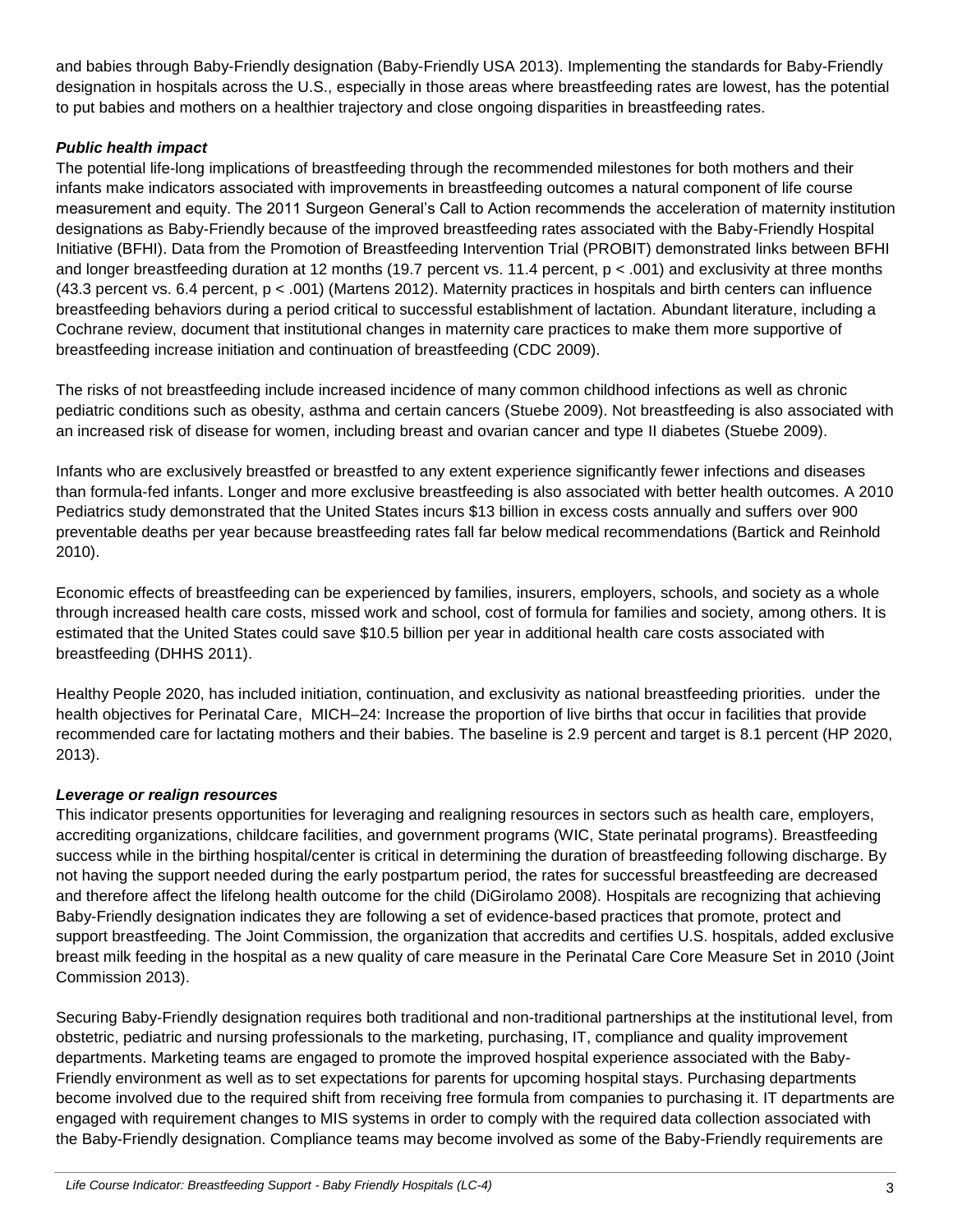and babies through Baby-Friendly designation (Baby-Friendly USA 2013). Implementing the standards for Baby-Friendly designation in hospitals across the U.S., especially in those areas where breastfeeding rates are lowest, has the potential to put babies and mothers on a healthier trajectory and close ongoing disparities in breastfeeding rates.

#### *Public health impact*

The potential life-long implications of breastfeeding through the recommended milestones for both mothers and their infants make indicators associated with improvements in breastfeeding outcomes a natural component of life course measurement and equity. The 2011 Surgeon General's Call to Action recommends the acceleration of maternity institution designations as Baby-Friendly because of the improved breastfeeding rates associated with the Baby-Friendly Hospital Initiative (BFHI). Data from the Promotion of Breastfeeding Intervention Trial (PROBIT) demonstrated links between BFHI and longer breastfeeding duration at 12 months (19.7 percent vs. 11.4 percent, p < .001) and exclusivity at three months (43.3 percent vs. 6.4 percent, p < .001) (Martens 2012). Maternity practices in hospitals and birth centers can influence breastfeeding behaviors during a period critical to successful establishment of lactation. Abundant literature, including a Cochrane review, document that institutional changes in maternity care practices to make them more supportive of breastfeeding increase initiation and continuation of breastfeeding (CDC 2009).

The risks of not breastfeeding include increased incidence of many common childhood infections as well as chronic pediatric conditions such as obesity, asthma and certain cancers (Stuebe 2009). Not breastfeeding is also associated with an increased risk of disease for women, including breast and ovarian cancer and type II diabetes (Stuebe 2009).

Infants who are exclusively breastfed or breastfed to any extent experience significantly fewer infections and diseases than formula-fed infants. Longer and more exclusive breastfeeding is also associated with better health outcomes. A 2010 Pediatrics study demonstrated that the United States incurs \$13 billion in excess costs annually and suffers over 900 preventable deaths per year because breastfeeding rates fall far below medical recommendations (Bartick and Reinhold 2010).

Economic effects of breastfeeding can be experienced by families, insurers, employers, schools, and society as a whole through increased health care costs, missed work and school, cost of formula for families and society, among others. It is estimated that the United States could save \$10.5 billion per year in additional health care costs associated with breastfeeding (DHHS 2011).

Healthy People 2020, has included initiation, continuation, and exclusivity as national breastfeeding priorities. under the health objectives for Perinatal Care, MICH–24: Increase the proportion of live births that occur in facilities that provide recommended care for lactating mothers and their babies. The baseline is 2.9 percent and target is 8.1 percent (HP 2020, 2013).

#### *Leverage or realign resources*

This indicator presents opportunities for leveraging and realigning resources in sectors such as health care, employers, accrediting organizations, childcare facilities, and government programs (WIC, State perinatal programs). Breastfeeding success while in the birthing hospital/center is critical in determining the duration of breastfeeding following discharge. By not having the support needed during the early postpartum period, the rates for successful breastfeeding are decreased and therefore affect the lifelong health outcome for the child (DiGirolamo 2008). Hospitals are recognizing that achieving Baby-Friendly designation indicates they are following a set of evidence-based practices that promote, protect and support breastfeeding. The Joint Commission, the organization that accredits and certifies U.S. hospitals, added exclusive breast milk feeding in the hospital as a new quality of care measure in the Perinatal Care Core Measure Set in 2010 (Joint Commission 2013).

Securing Baby-Friendly designation requires both traditional and non-traditional partnerships at the institutional level, from obstetric, pediatric and nursing professionals to the marketing, purchasing, IT, compliance and quality improvement departments. Marketing teams are engaged to promote the improved hospital experience associated with the Baby-Friendly environment as well as to set expectations for parents for upcoming hospital stays. Purchasing departments become involved due to the required shift from receiving free formula from companies to purchasing it. IT departments are engaged with requirement changes to MIS systems in order to comply with the required data collection associated with the Baby-Friendly designation. Compliance teams may become involved as some of the Baby-Friendly requirements are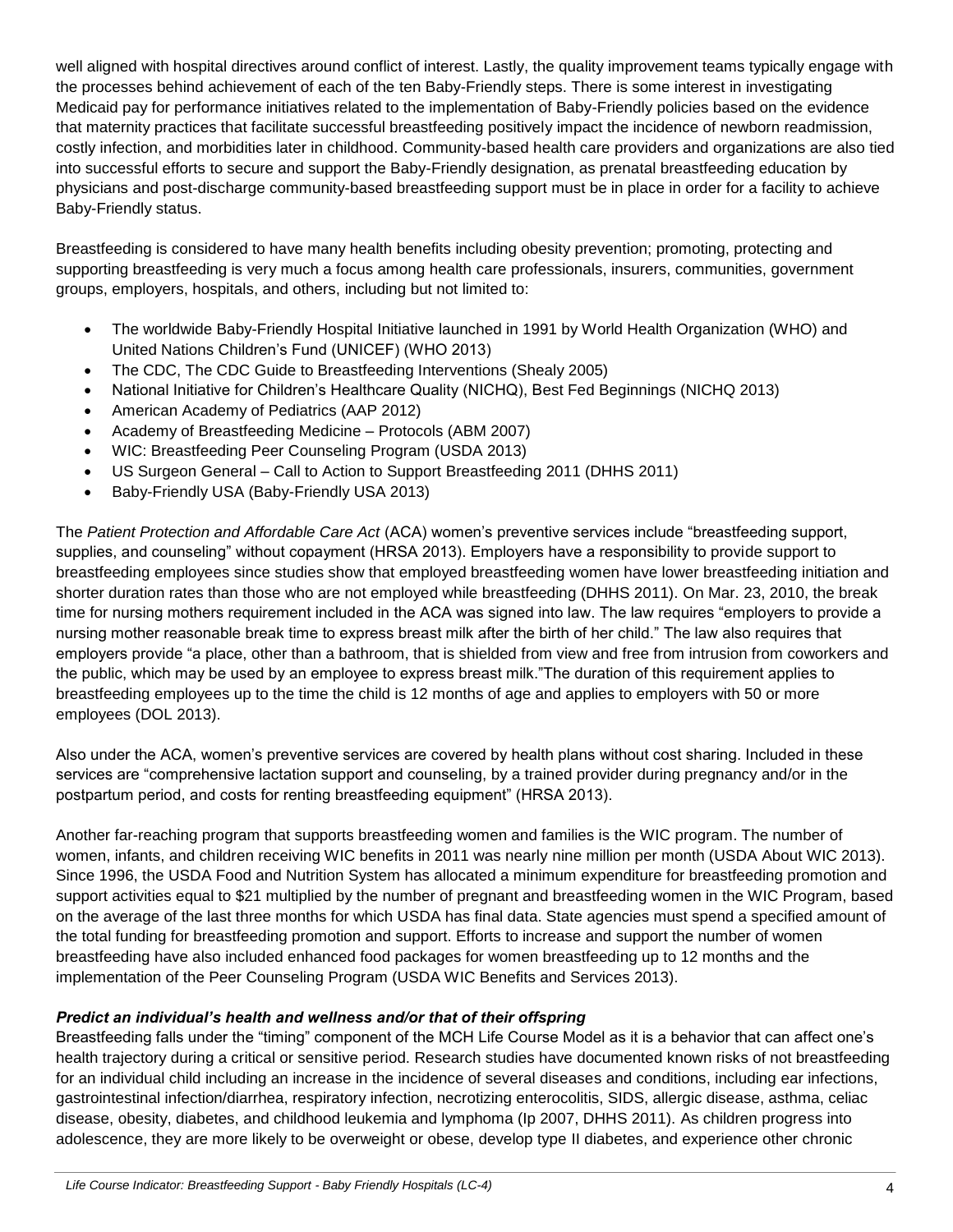well aligned with hospital directives around conflict of interest. Lastly, the quality improvement teams typically engage with the processes behind achievement of each of the ten Baby-Friendly steps. There is some interest in investigating Medicaid pay for performance initiatives related to the implementation of Baby-Friendly policies based on the evidence that maternity practices that facilitate successful breastfeeding positively impact the incidence of newborn readmission, costly infection, and morbidities later in childhood. Community-based health care providers and organizations are also tied into successful efforts to secure and support the Baby-Friendly designation, as prenatal breastfeeding education by physicians and post-discharge community-based breastfeeding support must be in place in order for a facility to achieve Baby-Friendly status.

Breastfeeding is considered to have many health benefits including obesity prevention; promoting, protecting and supporting breastfeeding is very much a focus among health care professionals, insurers, communities, government groups, employers, hospitals, and others, including but not limited to:

- The worldwide Baby-Friendly Hospital Initiative launched in 1991 by World Health Organization (WHO) and United Nations Children's Fund (UNICEF) (WHO 2013)
- The CDC, The CDC Guide to Breastfeeding Interventions (Shealy 2005)
- National Initiative for Children's Healthcare Quality (NICHQ), Best Fed Beginnings (NICHQ 2013)
- American Academy of Pediatrics (AAP 2012)
- Academy of Breastfeeding Medicine Protocols (ABM 2007)
- WIC: Breastfeeding Peer Counseling Program (USDA 2013)
- US Surgeon General Call to Action to Support Breastfeeding 2011 (DHHS 2011)
- Baby-Friendly USA (Baby-Friendly USA 2013)

The *Patient Protection and Affordable Care Act* (ACA) women's preventive services include "breastfeeding support, supplies, and counseling" without copayment (HRSA 2013). Employers have a responsibility to provide support to breastfeeding employees since studies show that employed breastfeeding women have lower breastfeeding initiation and shorter duration rates than those who are not employed while breastfeeding (DHHS 2011). On Mar. 23, 2010, the break time for nursing mothers requirement included in the ACA was signed into law. The law requires "employers to provide a nursing mother reasonable break time to express breast milk after the birth of her child." The law also requires that employers provide "a place, other than a bathroom, that is shielded from view and free from intrusion from coworkers and the public, which may be used by an employee to express breast milk."The duration of this requirement applies to breastfeeding employees up to the time the child is 12 months of age and applies to employers with 50 or more employees (DOL 2013).

Also under the ACA, women's preventive services are covered by health plans without cost sharing. Included in these services are "comprehensive lactation support and counseling, by a trained provider during pregnancy and/or in the postpartum period, and costs for renting breastfeeding equipment" (HRSA 2013).

Another far-reaching program that supports breastfeeding women and families is the WIC program. The number of women, infants, and children receiving WIC benefits in 2011 was nearly nine million per month (USDA About WIC 2013). Since 1996, the USDA Food and Nutrition System has allocated a minimum expenditure for breastfeeding promotion and support activities equal to \$21 multiplied by the number of pregnant and breastfeeding women in the WIC Program, based on the average of the last three months for which USDA has final data. State agencies must spend a specified amount of the total funding for breastfeeding promotion and support. Efforts to increase and support the number of women breastfeeding have also included enhanced food packages for women breastfeeding up to 12 months and the implementation of the Peer Counseling Program (USDA WIC Benefits and Services 2013).

## *Predict an individual's health and wellness and/or that of their offspring*

Breastfeeding falls under the "timing" component of the MCH Life Course Model as it is a behavior that can affect one's health trajectory during a critical or sensitive period. Research studies have documented known risks of not breastfeeding for an individual child including an increase in the incidence of several diseases and conditions, including ear infections, gastrointestinal infection/diarrhea, respiratory infection, necrotizing enterocolitis, SIDS, allergic disease, asthma, celiac disease, obesity, diabetes, and childhood leukemia and lymphoma (Ip 2007, DHHS 2011). As children progress into adolescence, they are more likely to be overweight or obese, develop type II diabetes, and experience other chronic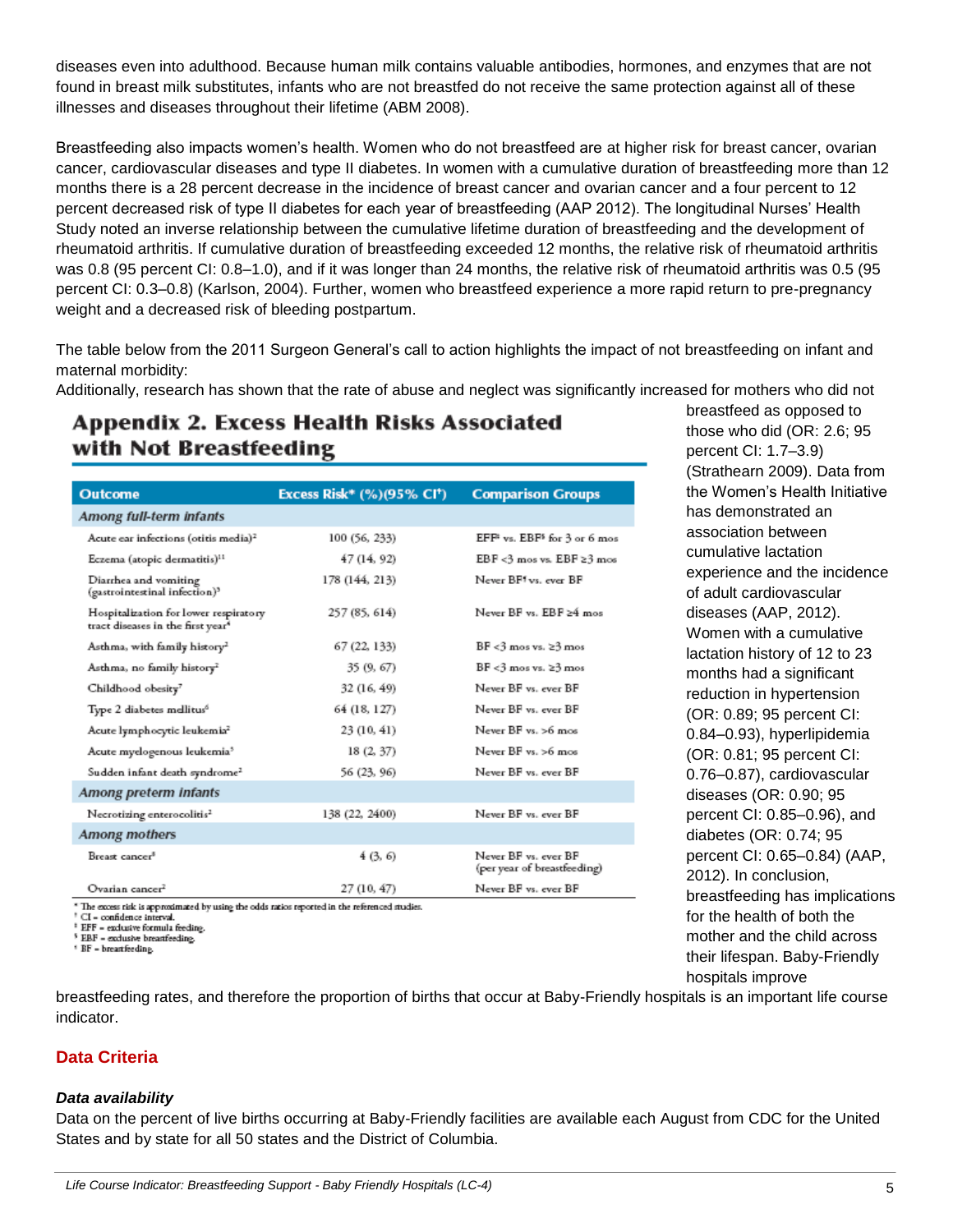diseases even into adulthood. Because human milk contains valuable antibodies, hormones, and enzymes that are not found in breast milk substitutes, infants who are not breastfed do not receive the same protection against all of these illnesses and diseases throughout their lifetime (ABM 2008).

Breastfeeding also impacts women's health. Women who do not breastfeed are at higher risk for breast cancer, ovarian cancer, cardiovascular diseases and type II diabetes. In women with a cumulative duration of breastfeeding more than 12 months there is a 28 percent decrease in the incidence of breast cancer and ovarian cancer and a four percent to 12 percent decreased risk of type II diabetes for each year of breastfeeding (AAP 2012). The longitudinal Nurses' Health Study noted an inverse relationship between the cumulative lifetime duration of breastfeeding and the development of rheumatoid arthritis. If cumulative duration of breastfeeding exceeded 12 months, the relative risk of rheumatoid arthritis was 0.8 (95 percent CI: 0.8–1.0), and if it was longer than 24 months, the relative risk of rheumatoid arthritis was 0.5 (95 percent CI: 0.3–0.8) (Karlson, 2004). Further, women who breastfeed experience a more rapid return to pre-pregnancy weight and a decreased risk of bleeding postpartum.

The table below from the 2011 Surgeon General's call to action highlights the impact of not breastfeeding on infant and maternal morbidity:

Additionally, research has shown that the rate of abuse and neglect was significantly increased for mothers who did not

# Appendix 2. Excess Health Risks Associated with Not Breastfeeding

| <b>Outcome</b>                                                                         | Excess Risk* (%)(95% CI <sup>+</sup> ) | <b>Comparison Groups</b>                             |
|----------------------------------------------------------------------------------------|----------------------------------------|------------------------------------------------------|
| Among full-term infants                                                                |                                        |                                                      |
| Acute ear infections (otitis media) <sup>2</sup>                                       | 100 (56, 233)                          | EFF <sup>*</sup> vs. EBF <sup>5</sup> for 3 or 6 mos |
| Eczema (atopic dermatitis) <sup>11</sup>                                               | 47 (14, 92)                            | EBF<3 mos vs. EBF ≥3 mos                             |
| Diarrhea and vomiting<br>(gastrointestinal infection) <sup>3</sup>                     | 178 (144, 213)                         | Never BF1 vs. ever BF                                |
| Hospitalization for lower respiratory<br>tract diseases in the first year <sup>4</sup> | 257 (85, 614)                          | Never BF vs. EBF ≥4 mos                              |
| Asthma, with family history <sup>2</sup>                                               | 67 (22, 133)                           | $BF < 3$ mos vs. $\geq 3$ mos                        |
| Asthma, no family history <sup>2</sup>                                                 | 35 (9, 67)                             | $BF < 3$ mos vs. $\geq 3$ mos                        |
| Childhood obesity <sup>7</sup>                                                         | 32 (16, 49)                            | Never BF vs. ever BF                                 |
| Type 2 diabetes mellitus <sup>6</sup>                                                  | 64 (18, 127)                           | Never BF vs. ever BF                                 |
| Acute lymphocytic leukemia <sup>2</sup>                                                | 23 (10, 41)                            | Never BF vs. >6 mos                                  |
| Acute myelogenous leukemia <sup>5</sup>                                                | 18(2, 37)                              | Never BF vs. >6 mos                                  |
| Sudden infant death syndrome <sup>2</sup>                                              | 56 (23, 96)                            | Never BF vs. ever BF                                 |
| Among preterm infants                                                                  |                                        |                                                      |
| Necrotizing enterocolitis <sup>2</sup>                                                 | 138 (22, 2400)                         | Never BF vs. ever BF                                 |
| <b>Among mothers</b>                                                                   |                                        |                                                      |
| Breast cancer <sup>8</sup>                                                             | 4 (3, 6)                               | Never BF vs. ever BF<br>(per year of breastfeeding)  |
| Ovarian cancer <sup>2</sup>                                                            | 27 (10, 47)                            | Never BF vs. ever BF                                 |
| .                                                                                      |                                        |                                                      |

The excess risk is approximated by using the odds ratios reported in the referenced studies

CI - confidence interval. <sup>1</sup> EFF - exclusive formula feeding.

EBF - exclusive breastfeeding.

<sup>1</sup> BF - breastfeeding.

breastfeed as opposed to those who did (OR: 2.6; 95 percent CI: 1.7–3.9) (Strathearn 2009). Data from the Women's Health Initiative has demonstrated an association between cumulative lactation experience and the incidence of adult cardiovascular diseases (AAP, 2012). Women with a cumulative lactation history of 12 to 23 months had a significant reduction in hypertension (OR: 0.89; 95 percent CI: 0.84–0.93), hyperlipidemia (OR: 0.81; 95 percent CI: 0.76–0.87), cardiovascular diseases (OR: 0.90; 95 percent CI: 0.85–0.96), and diabetes (OR: 0.74; 95 percent CI: 0.65–0.84) (AAP, 2012). In conclusion, breastfeeding has implications for the health of both the mother and the child across their lifespan. Baby-Friendly hospitals improve

breastfeeding rates, and therefore the proportion of births that occur at Baby-Friendly hospitals is an important life course indicator.

## **Data Criteria**

#### *Data availability*

Data on the percent of live births occurring at Baby-Friendly facilities are available each August from CDC for the United States and by state for all 50 states and the District of Columbia.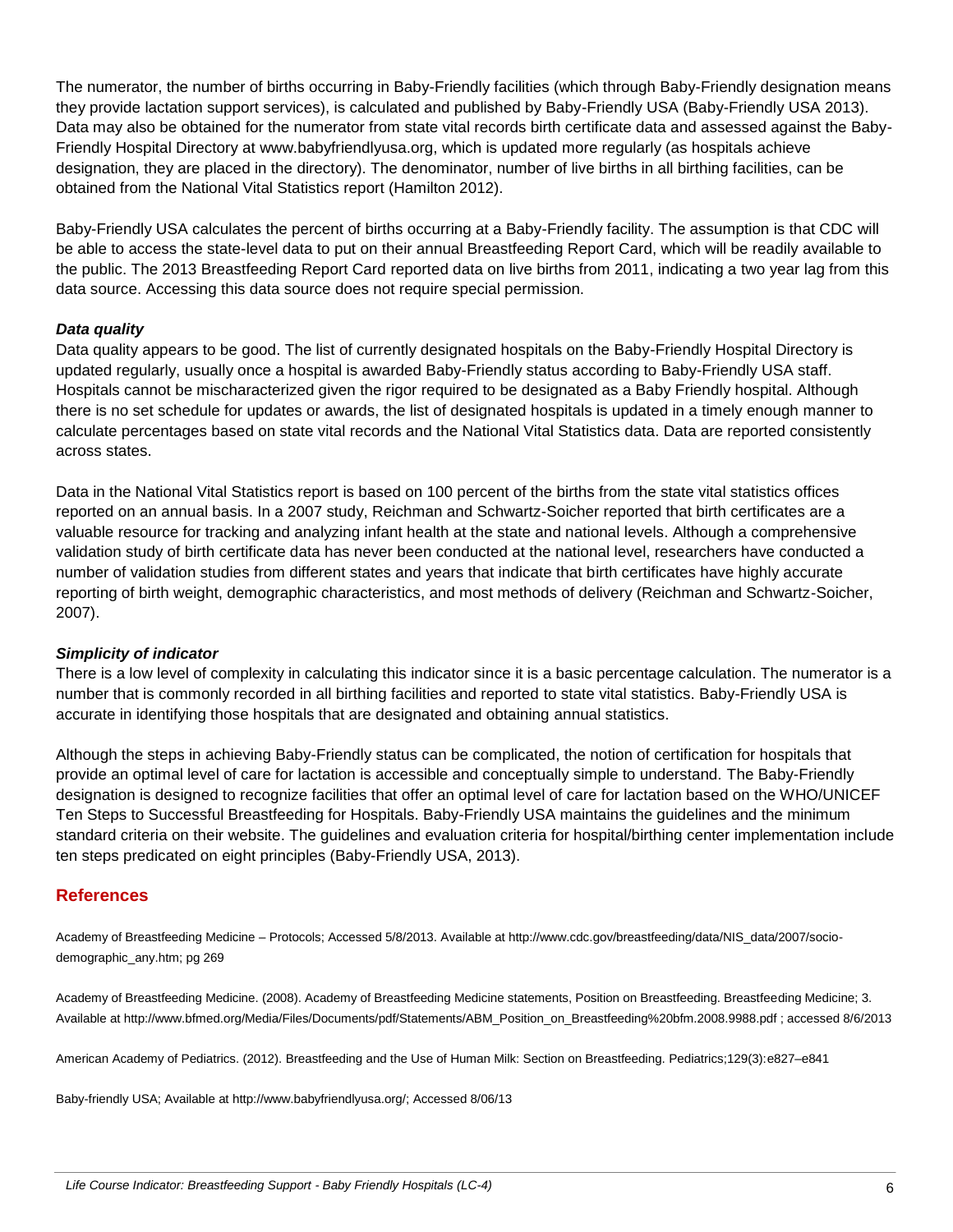The numerator, the number of births occurring in Baby-Friendly facilities (which through Baby-Friendly designation means they provide lactation support services), is calculated and published by Baby-Friendly USA (Baby-Friendly USA 2013). Data may also be obtained for the numerator from state vital records birth certificate data and assessed against the Baby-Friendly Hospital Directory at www.babyfriendlyusa.org, which is updated more regularly (as hospitals achieve designation, they are placed in the directory). The denominator, number of live births in all birthing facilities, can be obtained from the National Vital Statistics report (Hamilton 2012).

Baby-Friendly USA calculates the percent of births occurring at a Baby-Friendly facility. The assumption is that CDC will be able to access the state-level data to put on their annual Breastfeeding Report Card, which will be readily available to the public. The 2013 Breastfeeding Report Card reported data on live births from 2011, indicating a two year lag from this data source. Accessing this data source does not require special permission.

#### *Data quality*

Data quality appears to be good. The list of currently designated hospitals on the Baby-Friendly Hospital Directory is updated regularly, usually once a hospital is awarded Baby-Friendly status according to Baby-Friendly USA staff. Hospitals cannot be mischaracterized given the rigor required to be designated as a Baby Friendly hospital. Although there is no set schedule for updates or awards, the list of designated hospitals is updated in a timely enough manner to calculate percentages based on state vital records and the National Vital Statistics data. Data are reported consistently across states.

Data in the National Vital Statistics report is based on 100 percent of the births from the state vital statistics offices reported on an annual basis. In a 2007 study, Reichman and Schwartz-Soicher reported that birth certificates are a valuable resource for tracking and analyzing infant health at the state and national levels. Although a comprehensive validation study of birth certificate data has never been conducted at the national level, researchers have conducted a number of validation studies from different states and years that indicate that birth certificates have highly accurate reporting of birth weight, demographic characteristics, and most methods of delivery (Reichman and Schwartz-Soicher, 2007).

#### *Simplicity of indicator*

There is a low level of complexity in calculating this indicator since it is a basic percentage calculation. The numerator is a number that is commonly recorded in all birthing facilities and reported to state vital statistics. Baby-Friendly USA is accurate in identifying those hospitals that are designated and obtaining annual statistics.

Although the steps in achieving Baby-Friendly status can be complicated, the notion of certification for hospitals that provide an optimal level of care for lactation is accessible and conceptually simple to understand. The Baby-Friendly designation is designed to recognize facilities that offer an optimal level of care for lactation based on the WHO/UNICEF Ten Steps to Successful Breastfeeding for Hospitals. Baby-Friendly USA maintains the guidelines and the minimum standard criteria on their website. The guidelines and evaluation criteria for hospital/birthing center implementation include ten steps predicated on eight principles (Baby-Friendly USA, 2013).

#### **References**

Academy of Breastfeeding Medicine – Protocols; Accessed 5/8/2013. Available at http://www.cdc.gov/breastfeeding/data/NIS\_data/2007/sociodemographic\_any.htm; pg 269

Academy of Breastfeeding Medicine. (2008). Academy of Breastfeeding Medicine statements, Position on Breastfeeding. Breastfeeding Medicine; 3. Available at http://www.bfmed.org/Media/Files/Documents/pdf/Statements/ABM\_Position\_on\_Breastfeeding%20bfm.2008.9988.pdf ; accessed 8/6/2013

American Academy of Pediatrics. (2012). Breastfeeding and the Use of Human Milk: Section on Breastfeeding. Pediatrics;129(3):e827–e841

Baby-friendly USA; Available at http://www.babyfriendlyusa.org/; Accessed 8/06/13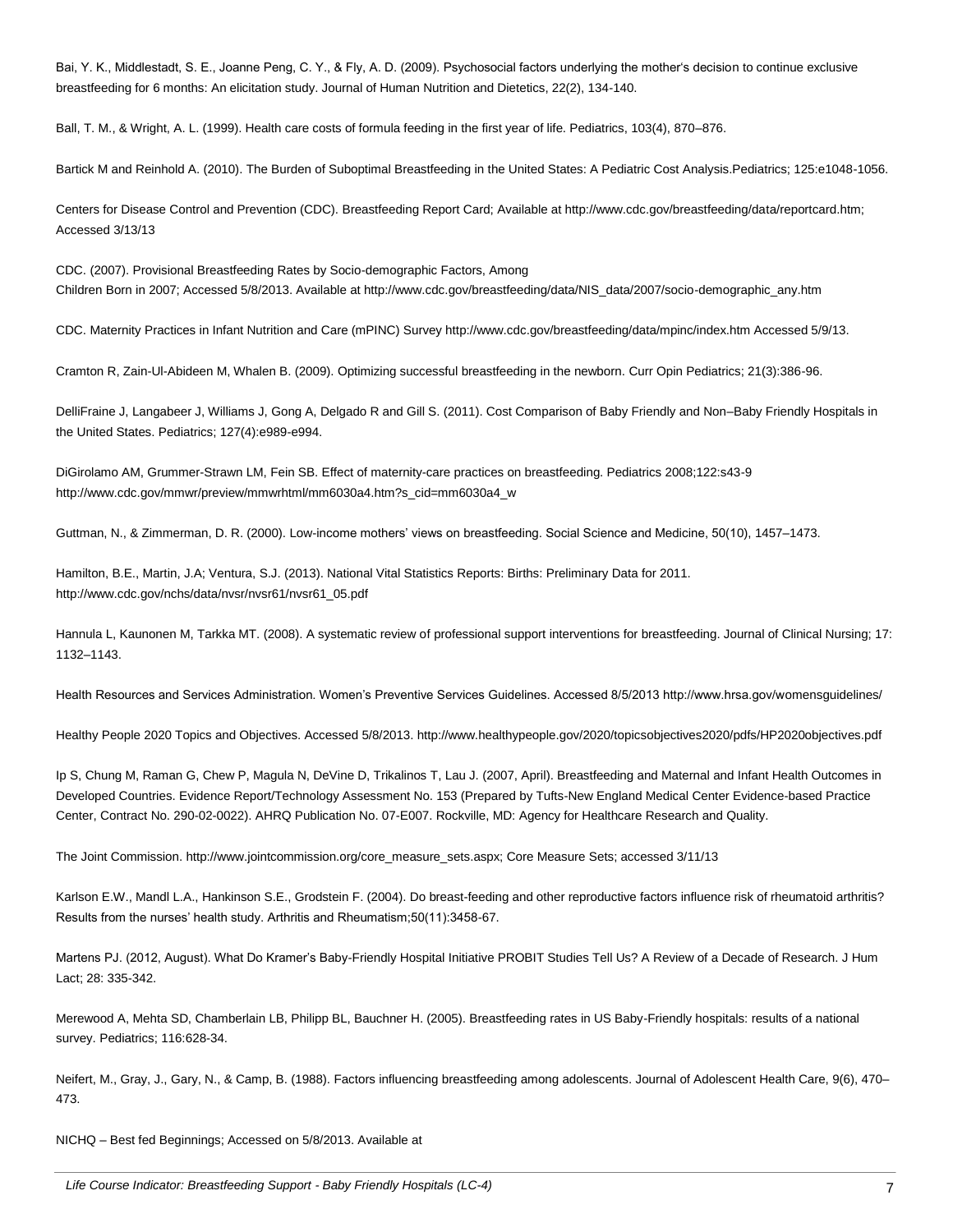Bai, Y. K., Middlestadt, S. E., Joanne Peng, C. Y., & Fly, A. D. (2009). Psychosocial factors underlying the mother's decision to continue exclusive breastfeeding for 6 months: An elicitation study. Journal of Human Nutrition and Dietetics, 22(2), 134-140.

Ball, T. M., & Wright, A. L. (1999). Health care costs of formula feeding in the first year of life. Pediatrics, 103(4), 870–876.

Bartick M and Reinhold A. (2010). The Burden of Suboptimal Breastfeeding in the United States: A Pediatric Cost Analysis.Pediatrics; 125:e1048-1056.

Centers for Disease Control and Prevention (CDC). Breastfeeding Report Card; Available at http://www.cdc.gov/breastfeeding/data/reportcard.htm; Accessed 3/13/13

CDC. (2007). Provisional Breastfeeding Rates by Socio-demographic Factors, Among Children Born in 2007; Accessed 5/8/2013. Available at http://www.cdc.gov/breastfeeding/data/NIS\_data/2007/socio-demographic\_any.htm

CDC. Maternity Practices in Infant Nutrition and Care (mPINC) Survey http://www.cdc.gov/breastfeeding/data/mpinc/index.htm Accessed 5/9/13.

Cramton R, Zain-Ul-Abideen M, Whalen B. (2009). Optimizing successful breastfeeding in the newborn. Curr Opin Pediatrics; 21(3):386-96.

DelliFraine J, Langabeer J, Williams J, Gong A, Delgado R and Gill S. (2011). Cost Comparison of Baby Friendly and Non–Baby Friendly Hospitals in the United States. Pediatrics; 127(4):e989-e994.

DiGirolamo AM, Grummer-Strawn LM, Fein SB. Effect of maternity-care practices on breastfeeding. Pediatrics 2008;122:s43-9 http://www.cdc.gov/mmwr/preview/mmwrhtml/mm6030a4.htm?s\_cid=mm6030a4\_w

Guttman, N., & Zimmerman, D. R. (2000). Low-income mothers' views on breastfeeding. Social Science and Medicine, 50(10), 1457–1473.

Hamilton, B.E., Martin, J.A; Ventura, S.J. (2013). National Vital Statistics Reports: Births: Preliminary Data for 2011. http://www.cdc.gov/nchs/data/nvsr/nvsr61/nvsr61\_05.pdf

Hannula L, Kaunonen M, Tarkka MT. (2008). A systematic review of professional support interventions for breastfeeding. Journal of Clinical Nursing; 17: 1132–1143.

Health Resources and Services Administration. Women's Preventive Services Guidelines. Accessed 8/5/2013 http://www.hrsa.gov/womensguidelines/

Healthy People 2020 Topics and Objectives. Accessed 5/8/2013. http://www.healthypeople.gov/2020/topicsobjectives2020/pdfs/HP2020objectives.pdf

Ip S, Chung M, Raman G, Chew P, Magula N, DeVine D, Trikalinos T, Lau J. (2007, April). Breastfeeding and Maternal and Infant Health Outcomes in Developed Countries. Evidence Report/Technology Assessment No. 153 (Prepared by Tufts-New England Medical Center Evidence-based Practice Center, Contract No. 290-02-0022). AHRQ Publication No. 07-E007. Rockville, MD: Agency for Healthcare Research and Quality.

The Joint Commission. http://www.jointcommission.org/core\_measure\_sets.aspx; Core Measure Sets; accessed 3/11/13

Karlson E.W., Mandl L.A., Hankinson S.E., Grodstein F. (2004). Do breast-feeding and other reproductive factors influence risk of rheumatoid arthritis? Results from the nurses' health study. Arthritis and Rheumatism;50(11):3458-67.

Martens PJ. (2012, August). What Do Kramer's Baby-Friendly Hospital Initiative PROBIT Studies Tell Us? A Review of a Decade of Research. J Hum Lact; 28: 335-342.

Merewood A, Mehta SD, Chamberlain LB, Philipp BL, Bauchner H. (2005). Breastfeeding rates in US Baby-Friendly hospitals: results of a national survey. Pediatrics; 116:628-34.

Neifert, M., Gray, J., Gary, N., & Camp, B. (1988). Factors influencing breastfeeding among adolescents. Journal of Adolescent Health Care, 9(6), 470– 473.

NICHQ – Best fed Beginnings; Accessed on 5/8/2013. Available at